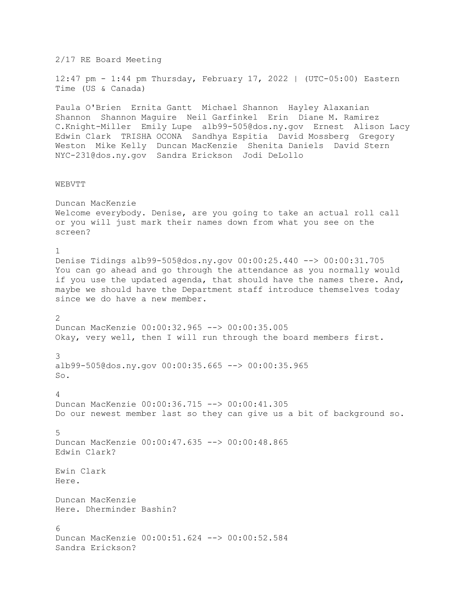2/17 RE Board Meeting 12:47 pm - 1:44 pm Thursday, February 17, 2022 | (UTC-05:00) Eastern Time (US & Canada) Paula O'Brien Ernita Gantt Michael Shannon Hayley Alaxanian Shannon Shannon Maguire Neil Garfinkel Erin Diane M. Ramirez C.Knight-Miller Emily Lupe alb99-505@dos.ny.gov Ernest Alison Lacy Edwin Clark TRISHA OCONA Sandhya Espitia David Mossberg Gregory Weston Mike Kelly Duncan MacKenzie Shenita Daniels David Stern NYC-231@dos.ny.gov Sandra Erickson Jodi DeLollo WEBVTT Duncan MacKenzie Welcome everybody. Denise, are you going to take an actual roll call or you will just mark their names down from what you see on the screen? 1 Denise Tidings alb99-505@dos.ny.gov 00:00:25.440 --> 00:00:31.705 You can go ahead and go through the attendance as you normally would if you use the updated agenda, that should have the names there. And, maybe we should have the Department staff introduce themselves today since we do have a new member.  $\mathcal{L}$ Duncan MacKenzie 00:00:32.965 --> 00:00:35.005 Okay, very well, then I will run through the board members first. 3 alb99-505@dos.ny.gov 00:00:35.665 --> 00:00:35.965 So.  $\Delta$ Duncan MacKenzie 00:00:36.715 --> 00:00:41.305 Do our newest member last so they can give us a bit of background so. 5 Duncan MacKenzie 00:00:47.635 --> 00:00:48.865 Edwin Clark? Ewin Clark Here. Duncan MacKenzie Here. Dherminder Bashin? 6 Duncan MacKenzie 00:00:51.624 --> 00:00:52.584 Sandra Erickson?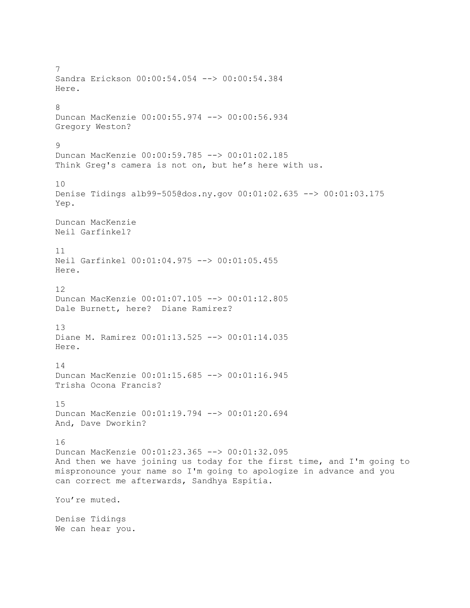7 Sandra Erickson 00:00:54.054 --> 00:00:54.384 Here. 8 Duncan MacKenzie 00:00:55.974 --> 00:00:56.934 Gregory Weston? 9 Duncan MacKenzie 00:00:59.785 --> 00:01:02.185 Think Greg's camera is not on, but he's here with us. 10 Denise Tidings alb99-505@dos.ny.gov 00:01:02.635 --> 00:01:03.175 Yep. Duncan MacKenzie Neil Garfinkel? 11 Neil Garfinkel 00:01:04.975 --> 00:01:05.455 Here. 12 Duncan MacKenzie 00:01:07.105 --> 00:01:12.805 Dale Burnett, here? Diane Ramirez? 13 Diane M. Ramirez 00:01:13.525 --> 00:01:14.035 Here. 14 Duncan MacKenzie 00:01:15.685 --> 00:01:16.945 Trisha Ocona Francis? 15 Duncan MacKenzie 00:01:19.794 --> 00:01:20.694 And, Dave Dworkin? 16 Duncan MacKenzie 00:01:23.365 --> 00:01:32.095 And then we have joining us today for the first time, and I'm going to mispronounce your name so I'm going to apologize in advance and you can correct me afterwards, Sandhya Espitia. You're muted. Denise Tidings We can hear you.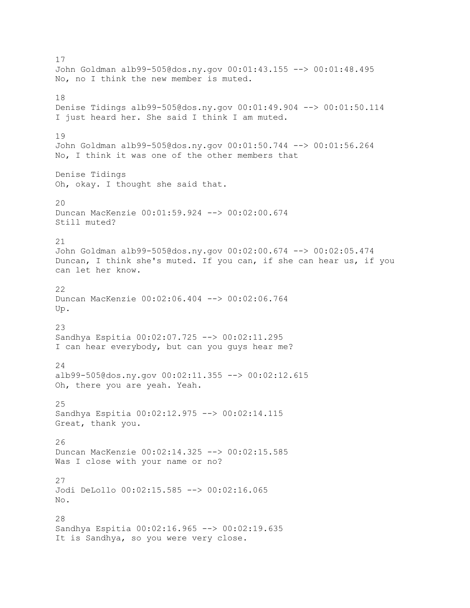17 John Goldman alb99-505@dos.ny.gov 00:01:43.155 --> 00:01:48.495 No, no I think the new member is muted. 18 Denise Tidings alb99-505@dos.ny.gov 00:01:49.904 --> 00:01:50.114 I just heard her. She said I think I am muted. 19 John Goldman alb99-505@dos.ny.gov 00:01:50.744 --> 00:01:56.264 No, I think it was one of the other members that Denise Tidings Oh, okay. I thought she said that.  $20$ Duncan MacKenzie 00:01:59.924 --> 00:02:00.674 Still muted? 21 John Goldman alb99-505@dos.ny.gov 00:02:00.674 --> 00:02:05.474 Duncan, I think she's muted. If you can, if she can hear us, if you can let her know. 22 Duncan MacKenzie 00:02:06.404 --> 00:02:06.764 Up. 23 Sandhya Espitia 00:02:07.725 --> 00:02:11.295 I can hear everybody, but can you guys hear me? 24 alb99-505@dos.ny.gov 00:02:11.355 --> 00:02:12.615 Oh, there you are yeah. Yeah. 25 Sandhya Espitia 00:02:12.975 --> 00:02:14.115 Great, thank you. 26 Duncan MacKenzie 00:02:14.325 --> 00:02:15.585 Was I close with your name or no? 27 Jodi DeLollo 00:02:15.585 --> 00:02:16.065 No. 28 Sandhya Espitia 00:02:16.965 --> 00:02:19.635 It is Sandhya, so you were very close.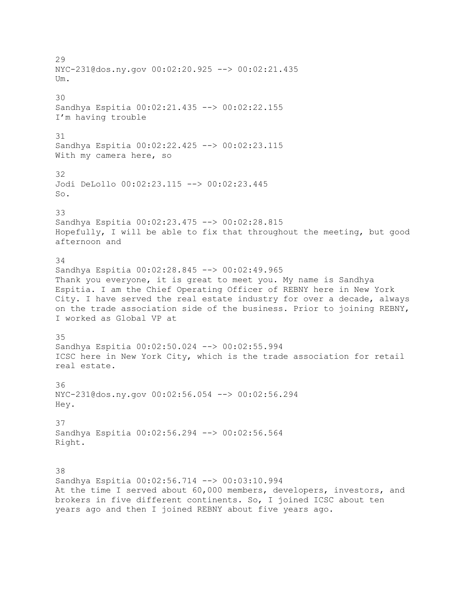29 NYC-231@dos.ny.gov 00:02:20.925 --> 00:02:21.435 Um. 30 Sandhya Espitia 00:02:21.435 --> 00:02:22.155 I'm having trouble 31 Sandhya Espitia 00:02:22.425 --> 00:02:23.115 With my camera here, so 32 Jodi DeLollo 00:02:23.115 --> 00:02:23.445 So. 33 Sandhya Espitia 00:02:23.475 --> 00:02:28.815 Hopefully, I will be able to fix that throughout the meeting, but good afternoon and 34 Sandhya Espitia 00:02:28.845 --> 00:02:49.965 Thank you everyone, it is great to meet you. My name is Sandhya Espitia. I am the Chief Operating Officer of REBNY here in New York City. I have served the real estate industry for over a decade, always on the trade association side of the business. Prior to joining REBNY, I worked as Global VP at 35 Sandhya Espitia 00:02:50.024 --> 00:02:55.994 ICSC here in New York City, which is the trade association for retail real estate. 36 NYC-231@dos.ny.gov 00:02:56.054 --> 00:02:56.294 Hey. 37 Sandhya Espitia 00:02:56.294 --> 00:02:56.564 Right. 38 Sandhya Espitia 00:02:56.714 --> 00:03:10.994 At the time I served about 60,000 members, developers, investors, and brokers in five different continents. So, I joined ICSC about ten years ago and then I joined REBNY about five years ago.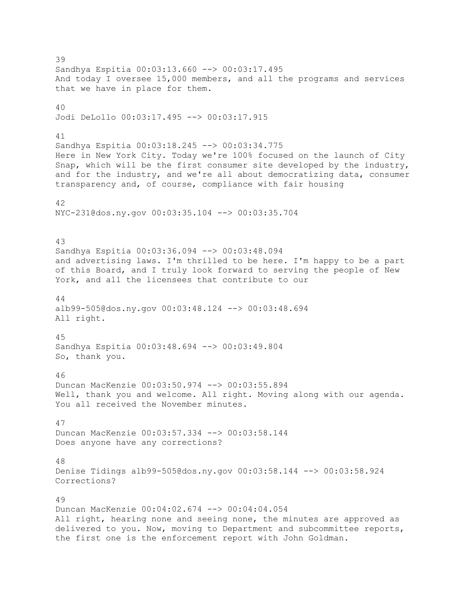39 Sandhya Espitia 00:03:13.660 --> 00:03:17.495 And today I oversee 15,000 members, and all the programs and services that we have in place for them. 40 Jodi DeLollo 00:03:17.495 --> 00:03:17.915 41 Sandhya Espitia 00:03:18.245 --> 00:03:34.775 Here in New York City. Today we're 100% focused on the launch of City Snap, which will be the first consumer site developed by the industry, and for the industry, and we're all about democratizing data, consumer transparency and, of course, compliance with fair housing 42 NYC-231@dos.ny.gov 00:03:35.104 --> 00:03:35.704 43 Sandhya Espitia 00:03:36.094 --> 00:03:48.094 and advertising laws. I'm thrilled to be here. I'm happy to be a part of this Board, and I truly look forward to serving the people of New York, and all the licensees that contribute to our 44 alb99-505@dos.ny.gov 00:03:48.124 --> 00:03:48.694 All right. 45 Sandhya Espitia 00:03:48.694 --> 00:03:49.804 So, thank you. 46 Duncan MacKenzie 00:03:50.974 --> 00:03:55.894 Well, thank you and welcome. All right. Moving along with our agenda. You all received the November minutes. 47 Duncan MacKenzie 00:03:57.334 --> 00:03:58.144 Does anyone have any corrections? 48 Denise Tidings alb99-505@dos.ny.gov 00:03:58.144 --> 00:03:58.924 Corrections? 49 Duncan MacKenzie 00:04:02.674 --> 00:04:04.054 All right, hearing none and seeing none, the minutes are approved as delivered to you. Now, moving to Department and subcommittee reports, the first one is the enforcement report with John Goldman.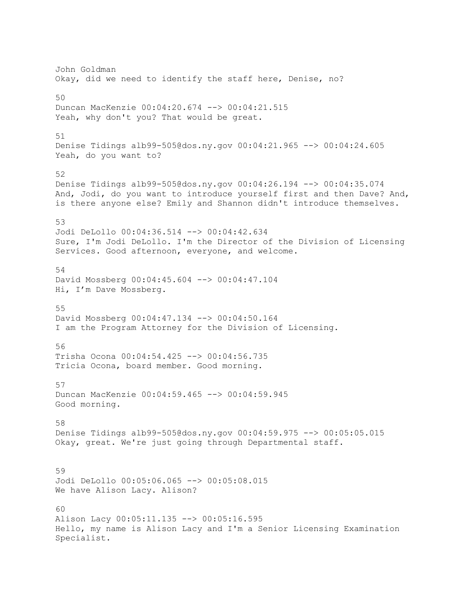John Goldman Okay, did we need to identify the staff here, Denise, no? 50 Duncan MacKenzie 00:04:20.674 --> 00:04:21.515 Yeah, why don't you? That would be great. 51 Denise Tidings alb99-505@dos.ny.gov 00:04:21.965 --> 00:04:24.605 Yeah, do you want to? 52 Denise Tidings alb99-505@dos.ny.gov 00:04:26.194 --> 00:04:35.074 And, Jodi, do you want to introduce yourself first and then Dave? And, is there anyone else? Emily and Shannon didn't introduce themselves. 53 Jodi DeLollo 00:04:36.514 --> 00:04:42.634 Sure, I'm Jodi DeLollo. I'm the Director of the Division of Licensing Services. Good afternoon, everyone, and welcome. 54 David Mossberg 00:04:45.604 --> 00:04:47.104 Hi, I'm Dave Mossberg. 55 David Mossberg 00:04:47.134 --> 00:04:50.164 I am the Program Attorney for the Division of Licensing. 56 Trisha Ocona 00:04:54.425 --> 00:04:56.735 Tricia Ocona, board member. Good morning. 57 Duncan MacKenzie 00:04:59.465 --> 00:04:59.945 Good morning. 58 Denise Tidings alb99-505@dos.ny.gov 00:04:59.975 --> 00:05:05.015 Okay, great. We're just going through Departmental staff. 59 Jodi DeLollo 00:05:06.065 --> 00:05:08.015 We have Alison Lacy. Alison? 60 Alison Lacy 00:05:11.135 --> 00:05:16.595 Hello, my name is Alison Lacy and I'm a Senior Licensing Examination Specialist.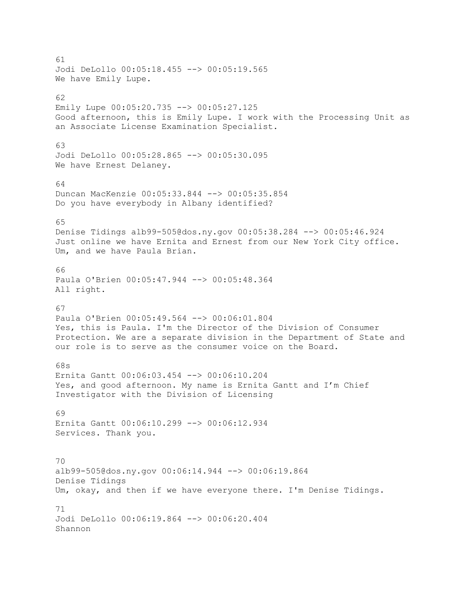61 Jodi DeLollo 00:05:18.455 --> 00:05:19.565 We have Emily Lupe. 62 Emily Lupe 00:05:20.735 --> 00:05:27.125 Good afternoon, this is Emily Lupe. I work with the Processing Unit as an Associate License Examination Specialist. 63 Jodi DeLollo 00:05:28.865 --> 00:05:30.095 We have Ernest Delaney. 64 Duncan MacKenzie 00:05:33.844 --> 00:05:35.854 Do you have everybody in Albany identified? 65 Denise Tidings alb99-505@dos.ny.gov 00:05:38.284 --> 00:05:46.924 Just online we have Ernita and Ernest from our New York City office. Um, and we have Paula Brian. 66 Paula O'Brien 00:05:47.944 --> 00:05:48.364 All right. 67 Paula O'Brien 00:05:49.564 --> 00:06:01.804 Yes, this is Paula. I'm the Director of the Division of Consumer Protection. We are a separate division in the Department of State and our role is to serve as the consumer voice on the Board. 68s Ernita Gantt 00:06:03.454 --> 00:06:10.204 Yes, and good afternoon. My name is Ernita Gantt and I'm Chief Investigator with the Division of Licensing 69 Ernita Gantt 00:06:10.299 --> 00:06:12.934 Services. Thank you. 70 alb99-505@dos.ny.gov 00:06:14.944 --> 00:06:19.864 Denise Tidings Um, okay, and then if we have everyone there. I'm Denise Tidings. 71 Jodi DeLollo 00:06:19.864 --> 00:06:20.404 Shannon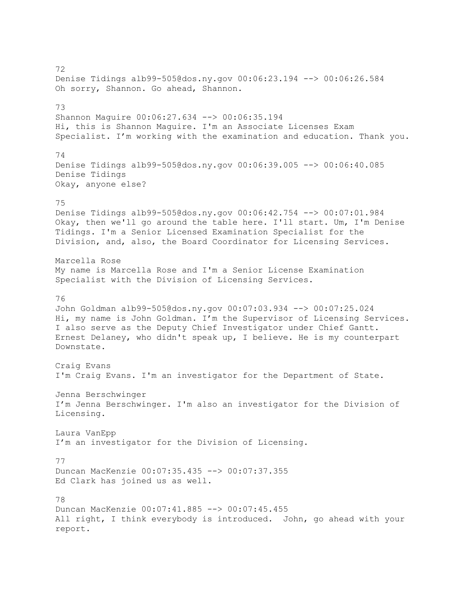72 Denise Tidings alb99-505@dos.ny.gov 00:06:23.194 --> 00:06:26.584 Oh sorry, Shannon. Go ahead, Shannon. 73 Shannon Maguire 00:06:27.634 --> 00:06:35.194 Hi, this is Shannon Maguire. I'm an Associate Licenses Exam Specialist. I'm working with the examination and education. Thank you. 74 Denise Tidings alb99-505@dos.ny.gov 00:06:39.005 --> 00:06:40.085 Denise Tidings Okay, anyone else? 75 Denise Tidings alb99-505@dos.ny.gov 00:06:42.754 --> 00:07:01.984 Okay, then we'll go around the table here. I'll start. Um, I'm Denise Tidings. I'm a Senior Licensed Examination Specialist for the Division, and, also, the Board Coordinator for Licensing Services. Marcella Rose My name is Marcella Rose and I'm a Senior License Examination Specialist with the Division of Licensing Services. 76 John Goldman alb99-505@dos.ny.gov 00:07:03.934 --> 00:07:25.024 Hi, my name is John Goldman. I'm the Supervisor of Licensing Services. I also serve as the Deputy Chief Investigator under Chief Gantt. Ernest Delaney, who didn't speak up, I believe. He is my counterpart Downstate. Craig Evans I'm Craig Evans. I'm an investigator for the Department of State. Jenna Berschwinger I'm Jenna Berschwinger. I'm also an investigator for the Division of Licensing. Laura VanEpp I'm an investigator for the Division of Licensing. 77 Duncan MacKenzie 00:07:35.435 --> 00:07:37.355 Ed Clark has joined us as well. 78 Duncan MacKenzie 00:07:41.885 --> 00:07:45.455 All right, I think everybody is introduced. John, go ahead with your report.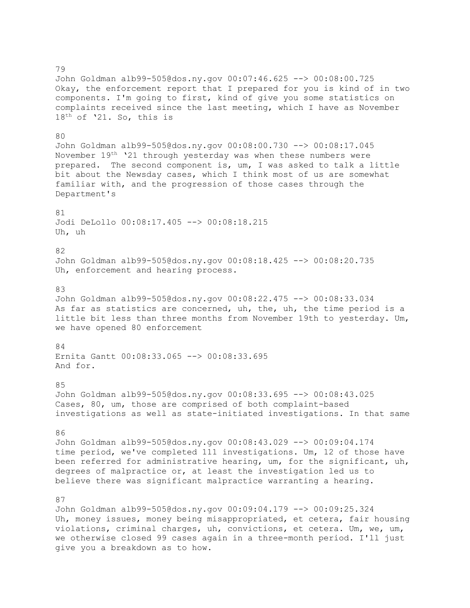John Goldman alb99-505@dos.ny.gov 00:07:46.625 --> 00:08:00.725 Okay, the enforcement report that I prepared for you is kind of in two components. I'm going to first, kind of give you some statistics on complaints received since the last meeting, which I have as November 18<sup>th</sup> of '21. So, this is 80 John Goldman alb99-505@dos.ny.gov 00:08:00.730 --> 00:08:17.045 November 19<sup>th</sup> '21 through yesterday was when these numbers were prepared. The second component is, um, I was asked to talk a little bit about the Newsday cases, which I think most of us are somewhat familiar with, and the progression of those cases through the Department's 81 Jodi DeLollo 00:08:17.405 --> 00:08:18.215 Uh, uh 82 John Goldman alb99-505@dos.ny.gov 00:08:18.425 --> 00:08:20.735 Uh, enforcement and hearing process. 83 John Goldman alb99-505@dos.ny.gov 00:08:22.475 --> 00:08:33.034 As far as statistics are concerned, uh, the, uh, the time period is a little bit less than three months from November 19th to yesterday. Um, we have opened 80 enforcement 84 Ernita Gantt 00:08:33.065 --> 00:08:33.695 And for. 85 John Goldman alb99-505@dos.ny.gov 00:08:33.695 --> 00:08:43.025 Cases, 80, um, those are comprised of both complaint-based investigations as well as state-initiated investigations. In that same 86 John Goldman alb99-505@dos.ny.gov 00:08:43.029 --> 00:09:04.174 time period, we've completed 111 investigations. Um, 12 of those have been referred for administrative hearing, um, for the significant, uh, degrees of malpractice or, at least the investigation led us to believe there was significant malpractice warranting a hearing. 87 John Goldman alb99-505@dos.ny.gov 00:09:04.179 --> 00:09:25.324 Uh, money issues, money being misappropriated, et cetera, fair housing

violations, criminal charges, uh, convictions, et cetera. Um, we, um, we otherwise closed 99 cases again in a three-month period. I'll just give you a breakdown as to how.

# 79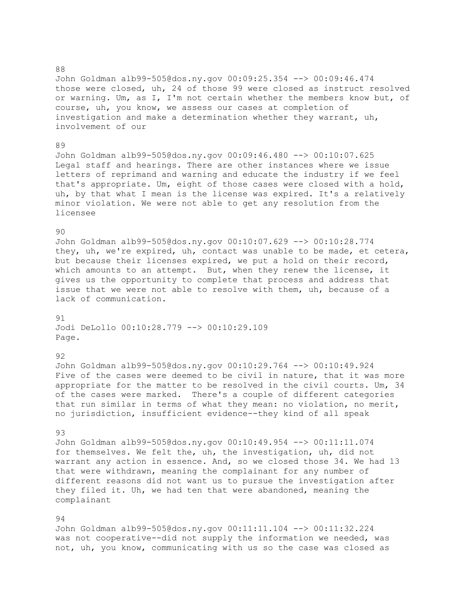those were closed, uh, 24 of those 99 were closed as instruct resolved or warning. Um, as I, I'm not certain whether the members know but, of course, uh, you know, we assess our cases at completion of investigation and make a determination whether they warrant, uh, involvement of our 89 John Goldman alb99-505@dos.ny.gov 00:09:46.480 --> 00:10:07.625 Legal staff and hearings. There are other instances where we issue letters of reprimand and warning and educate the industry if we feel that's appropriate. Um, eight of those cases were closed with a hold, uh, by that what I mean is the license was expired. It's a relatively minor violation. We were not able to get any resolution from the licensee  $90$ John Goldman alb99-505@dos.ny.gov 00:10:07.629 --> 00:10:28.774 they, uh, we're expired, uh, contact was unable to be made, et cetera, but because their licenses expired, we put a hold on their record, which amounts to an attempt. But, when they renew the license, it gives us the opportunity to complete that process and address that issue that we were not able to resolve with them, uh, because of a lack of communication. 91 Jodi DeLollo 00:10:28.779 --> 00:10:29.109 Page. 92 John Goldman alb99-505@dos.ny.gov 00:10:29.764 --> 00:10:49.924 Five of the cases were deemed to be civil in nature, that it was more appropriate for the matter to be resolved in the civil courts. Um, 34 of the cases were marked. There's a couple of different categories

John Goldman alb99-505@dos.ny.gov 00:09:25.354 --> 00:09:46.474

#### 93

John Goldman alb99-505@dos.ny.gov 00:10:49.954 --> 00:11:11.074 for themselves. We felt the, uh, the investigation, uh, did not warrant any action in essence. And, so we closed those 34. We had 13 that were withdrawn, meaning the complainant for any number of different reasons did not want us to pursue the investigation after they filed it. Uh, we had ten that were abandoned, meaning the complainant

that run similar in terms of what they mean: no violation, no merit,

no jurisdiction, insufficient evidence--they kind of all speak

### 94

John Goldman alb99-505@dos.ny.gov 00:11:11.104 --> 00:11:32.224 was not cooperative--did not supply the information we needed, was not, uh, you know, communicating with us so the case was closed as

## 88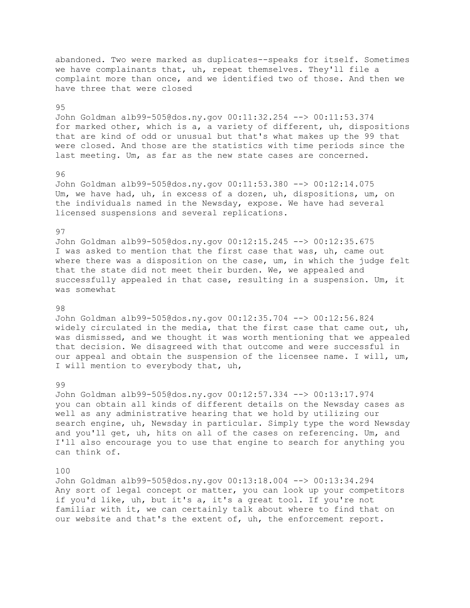abandoned. Two were marked as duplicates--speaks for itself. Sometimes we have complainants that, uh, repeat themselves. They'll file a complaint more than once, and we identified two of those. And then we have three that were closed

### 95

John Goldman alb99-505@dos.ny.gov 00:11:32.254 --> 00:11:53.374 for marked other, which is a, a variety of different, uh, dispositions that are kind of odd or unusual but that's what makes up the 99 that were closed. And those are the statistics with time periods since the last meeting. Um, as far as the new state cases are concerned.

#### 96

John Goldman alb99-505@dos.ny.gov 00:11:53.380 --> 00:12:14.075 Um, we have had, uh, in excess of a dozen, uh, dispositions, um, on the individuals named in the Newsday, expose. We have had several licensed suspensions and several replications.

## 97

John Goldman alb99-505@dos.ny.gov 00:12:15.245 --> 00:12:35.675 I was asked to mention that the first case that was, uh, came out where there was a disposition on the case, um, in which the judge felt that the state did not meet their burden. We, we appealed and successfully appealed in that case, resulting in a suspension. Um, it was somewhat

## 98

John Goldman alb99-505@dos.ny.gov 00:12:35.704 --> 00:12:56.824 widely circulated in the media, that the first case that came out, uh, was dismissed, and we thought it was worth mentioning that we appealed that decision. We disagreed with that outcome and were successful in our appeal and obtain the suspension of the licensee name. I will, um, I will mention to everybody that, uh,

#### 99

John Goldman alb99-505@dos.ny.gov 00:12:57.334 --> 00:13:17.974 you can obtain all kinds of different details on the Newsday cases as well as any administrative hearing that we hold by utilizing our search engine, uh, Newsday in particular. Simply type the word Newsday and you'll get, uh, hits on all of the cases on referencing. Um, and I'll also encourage you to use that engine to search for anything you can think of.

### 100

John Goldman alb99-505@dos.ny.gov 00:13:18.004 --> 00:13:34.294 Any sort of legal concept or matter, you can look up your competitors if you'd like, uh, but it's a, it's a great tool. If you're not familiar with it, we can certainly talk about where to find that on our website and that's the extent of, uh, the enforcement report.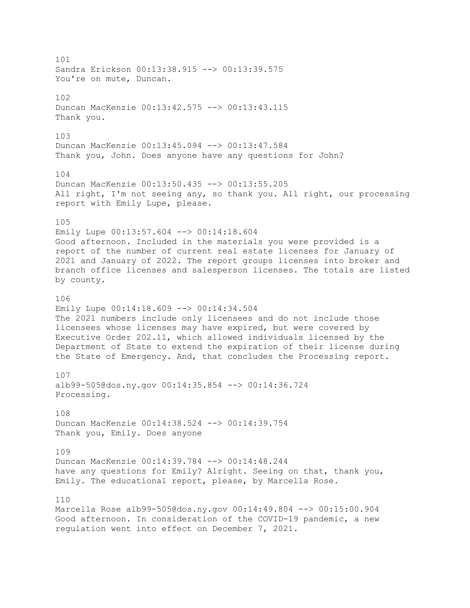101 Sandra Erickson 00:13:38.915 --> 00:13:39.575 You're on mute, Duncan. 102 Duncan MacKenzie 00:13:42.575 --> 00:13:43.115 Thank you. 103 Duncan MacKenzie 00:13:45.094 --> 00:13:47.584 Thank you, John. Does anyone have any questions for John? 104 Duncan MacKenzie 00:13:50.435 --> 00:13:55.205 All right, I'm not seeing any, so thank you. All right, our processing report with Emily Lupe, please. 105 Emily Lupe 00:13:57.604 --> 00:14:18.604 Good afternoon. Included in the materials you were provided is a report of the number of current real estate licenses for January of 2021 and January of 2022. The report groups licenses into broker and branch office licenses and salesperson licenses. The totals are listed by county. 106 Emily Lupe 00:14:18.609 --> 00:14:34.504 The 2021 numbers include only licensees and do not include those licensees whose licenses may have expired, but were covered by Executive Order 202.11, which allowed individuals licensed by the Department of State to extend the expiration of their license during the State of Emergency. And, that concludes the Processing report. 107 alb99-505@dos.ny.gov 00:14:35.854 --> 00:14:36.724 Processing. 108 Duncan MacKenzie 00:14:38.524 --> 00:14:39.754 Thank you, Emily. Does anyone 109 Duncan MacKenzie 00:14:39.784 --> 00:14:48.244 have any questions for Emily? Alright. Seeing on that, thank you, Emily. The educational report, please, by Marcella Rose. 110 Marcella Rose alb99-505@dos.ny.gov 00:14:49.804 --> 00:15:00.904 Good afternoon. In consideration of the COVID-19 pandemic, a new

regulation went into effect on December 7, 2021.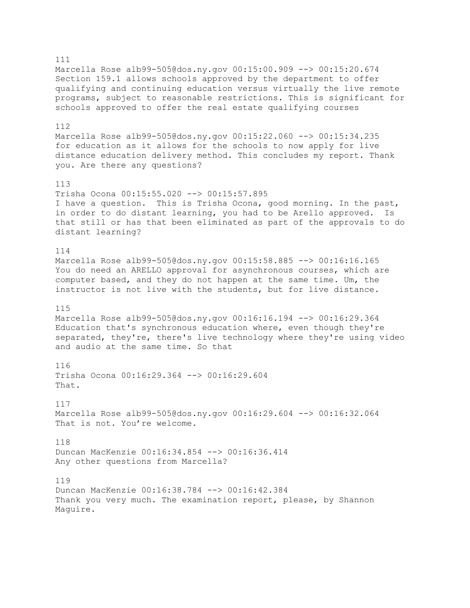111 Marcella Rose alb99-505@dos.ny.gov 00:15:00.909 --> 00:15:20.674 Section 159.1 allows schools approved by the department to offer qualifying and continuing education versus virtually the live remote programs, subject to reasonable restrictions. This is significant for schools approved to offer the real estate qualifying courses 112 Marcella Rose alb99-505@dos.ny.gov 00:15:22.060 --> 00:15:34.235 for education as it allows for the schools to now apply for live distance education delivery method. This concludes my report. Thank you. Are there any questions? 113 Trisha Ocona 00:15:55.020 --> 00:15:57.895 I have a question. This is Trisha Ocona, good morning. In the past, in order to do distant learning, you had to be Arello approved. Is that still or has that been eliminated as part of the approvals to do distant learning? 114 Marcella Rose alb99-505@dos.ny.gov 00:15:58.885 --> 00:16:16.165 You do need an ARELLO approval for asynchronous courses, which are computer based, and they do not happen at the same time. Um, the instructor is not live with the students, but for live distance. 115 Marcella Rose alb99-505@dos.ny.gov 00:16:16.194 --> 00:16:29.364 Education that's synchronous education where, even though they're separated, they're, there's live technology where they're using video and audio at the same time. So that 116 Trisha Ocona 00:16:29.364 --> 00:16:29.604 That. 117 Marcella Rose alb99-505@dos.ny.gov 00:16:29.604 --> 00:16:32.064 That is not. You're welcome. 118 Duncan MacKenzie 00:16:34.854 --> 00:16:36.414 Any other questions from Marcella? 119 Duncan MacKenzie 00:16:38.784 --> 00:16:42.384 Thank you very much. The examination report, please, by Shannon Maguire.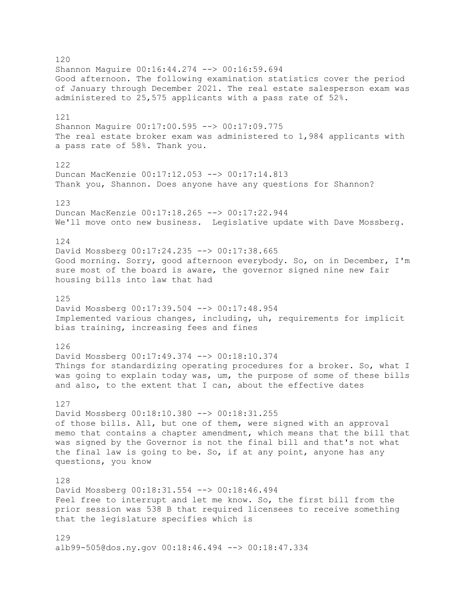120 Shannon Maguire 00:16:44.274 --> 00:16:59.694 Good afternoon. The following examination statistics cover the period of January through December 2021. The real estate salesperson exam was administered to 25,575 applicants with a pass rate of 52%. 121 Shannon Maguire 00:17:00.595 --> 00:17:09.775 The real estate broker exam was administered to 1,984 applicants with a pass rate of 58%. Thank you. 122 Duncan MacKenzie 00:17:12.053 --> 00:17:14.813 Thank you, Shannon. Does anyone have any questions for Shannon? 123 Duncan MacKenzie 00:17:18.265 --> 00:17:22.944 We'll move onto new business. Legislative update with Dave Mossberg. 124 David Mossberg 00:17:24.235 --> 00:17:38.665 Good morning. Sorry, good afternoon everybody. So, on in December, I'm sure most of the board is aware, the governor signed nine new fair housing bills into law that had 125 David Mossberg 00:17:39.504 --> 00:17:48.954 Implemented various changes, including, uh, requirements for implicit bias training, increasing fees and fines 126 David Mossberg 00:17:49.374 --> 00:18:10.374 Things for standardizing operating procedures for a broker. So, what I was going to explain today was, um, the purpose of some of these bills and also, to the extent that I can, about the effective dates 127 David Mossberg 00:18:10.380 --> 00:18:31.255 of those bills. All, but one of them, were signed with an approval memo that contains a chapter amendment, which means that the bill that was signed by the Governor is not the final bill and that's not what the final law is going to be. So, if at any point, anyone has any questions, you know 128 David Mossberg 00:18:31.554 --> 00:18:46.494 Feel free to interrupt and let me know. So, the first bill from the prior session was 538 B that required licensees to receive something that the legislature specifies which is 129

alb99-505@dos.ny.gov 00:18:46.494 --> 00:18:47.334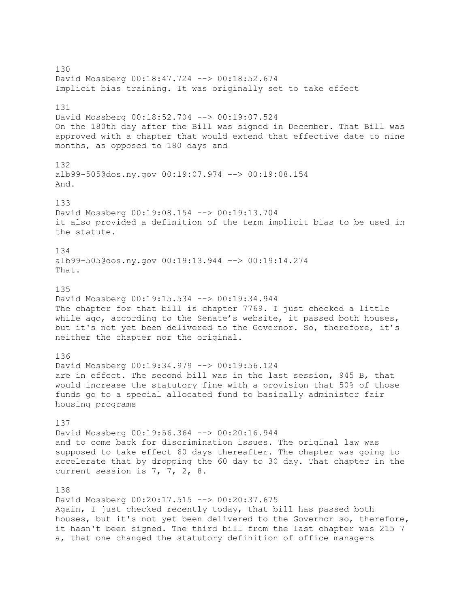130 David Mossberg 00:18:47.724 --> 00:18:52.674 Implicit bias training. It was originally set to take effect 131 David Mossberg 00:18:52.704 --> 00:19:07.524 On the 180th day after the Bill was signed in December. That Bill was approved with a chapter that would extend that effective date to nine months, as opposed to 180 days and 132 alb99-505@dos.ny.gov 00:19:07.974 --> 00:19:08.154 And. 133 David Mossberg 00:19:08.154 --> 00:19:13.704 it also provided a definition of the term implicit bias to be used in the statute. 134 alb99-505@dos.ny.gov 00:19:13.944 --> 00:19:14.274 That. 135 David Mossberg 00:19:15.534 --> 00:19:34.944 The chapter for that bill is chapter 7769. I just checked a little while ago, according to the Senate's website, it passed both houses, but it's not yet been delivered to the Governor. So, therefore, it's neither the chapter nor the original. 136 David Mossberg 00:19:34.979 --> 00:19:56.124 are in effect. The second bill was in the last session, 945 B, that would increase the statutory fine with a provision that 50% of those funds go to a special allocated fund to basically administer fair housing programs 137 David Mossberg 00:19:56.364 --> 00:20:16.944 and to come back for discrimination issues. The original law was supposed to take effect 60 days thereafter. The chapter was going to accelerate that by dropping the 60 day to 30 day. That chapter in the current session is 7, 7, 2, 8. 138 David Mossberg 00:20:17.515 --> 00:20:37.675 Again, I just checked recently today, that bill has passed both houses, but it's not yet been delivered to the Governor so, therefore, it hasn't been signed. The third bill from the last chapter was 215 7

a, that one changed the statutory definition of office managers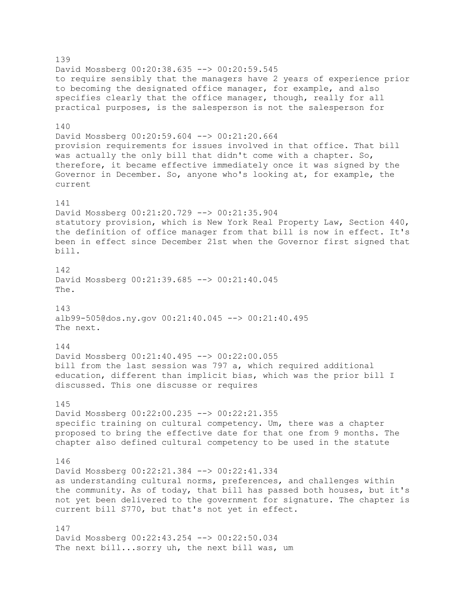139 David Mossberg 00:20:38.635 --> 00:20:59.545 to require sensibly that the managers have 2 years of experience prior to becoming the designated office manager, for example, and also specifies clearly that the office manager, though, really for all practical purposes, is the salesperson is not the salesperson for 140 David Mossberg 00:20:59.604 --> 00:21:20.664 provision requirements for issues involved in that office. That bill was actually the only bill that didn't come with a chapter. So, therefore, it became effective immediately once it was signed by the Governor in December. So, anyone who's looking at, for example, the current 141 David Mossberg 00:21:20.729 --> 00:21:35.904 statutory provision, which is New York Real Property Law, Section 440, the definition of office manager from that bill is now in effect. It's been in effect since December 21st when the Governor first signed that bill. 142 David Mossberg 00:21:39.685 --> 00:21:40.045 The. 143 alb99-505@dos.ny.gov 00:21:40.045 --> 00:21:40.495 The next. 144 David Mossberg 00:21:40.495 --> 00:22:00.055 bill from the last session was 797 a, which required additional education, different than implicit bias, which was the prior bill I discussed. This one discusse or requires 145 David Mossberg 00:22:00.235 --> 00:22:21.355 specific training on cultural competency. Um, there was a chapter proposed to bring the effective date for that one from 9 months. The chapter also defined cultural competency to be used in the statute 146 David Mossberg 00:22:21.384 --> 00:22:41.334 as understanding cultural norms, preferences, and challenges within the community. As of today, that bill has passed both houses, but it's not yet been delivered to the government for signature. The chapter is current bill S770, but that's not yet in effect. 147 David Mossberg 00:22:43.254 --> 00:22:50.034 The next bill...sorry uh, the next bill was, um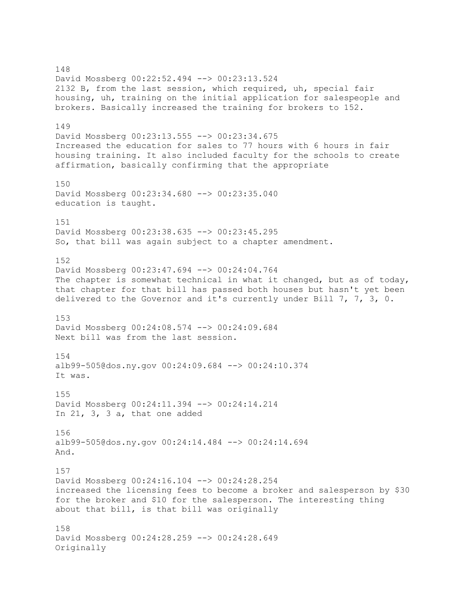148 David Mossberg 00:22:52.494 --> 00:23:13.524 2132 B, from the last session, which required, uh, special fair housing, uh, training on the initial application for salespeople and brokers. Basically increased the training for brokers to 152. 149 David Mossberg 00:23:13.555 --> 00:23:34.675 Increased the education for sales to 77 hours with 6 hours in fair housing training. It also included faculty for the schools to create affirmation, basically confirming that the appropriate 150 David Mossberg 00:23:34.680 --> 00:23:35.040 education is taught. 151 David Mossberg 00:23:38.635 --> 00:23:45.295 So, that bill was again subject to a chapter amendment. 152 David Mossberg 00:23:47.694 --> 00:24:04.764 The chapter is somewhat technical in what it changed, but as of today, that chapter for that bill has passed both houses but hasn't yet been delivered to the Governor and it's currently under Bill 7, 7, 3, 0. 153 David Mossberg 00:24:08.574 --> 00:24:09.684 Next bill was from the last session. 154 alb99-505@dos.ny.gov 00:24:09.684 --> 00:24:10.374 It was. 155 David Mossberg 00:24:11.394 --> 00:24:14.214 In 21, 3, 3 a, that one added 156 alb99-505@dos.ny.gov 00:24:14.484 --> 00:24:14.694 And. 157 David Mossberg 00:24:16.104 --> 00:24:28.254 increased the licensing fees to become a broker and salesperson by \$30 for the broker and \$10 for the salesperson. The interesting thing about that bill, is that bill was originally 158 David Mossberg 00:24:28.259 --> 00:24:28.649 Originally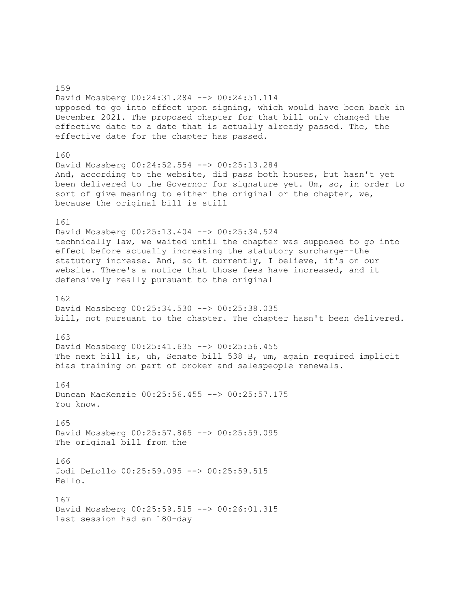159 David Mossberg 00:24:31.284 --> 00:24:51.114 upposed to go into effect upon signing, which would have been back in December 2021. The proposed chapter for that bill only changed the effective date to a date that is actually already passed. The, the effective date for the chapter has passed. 160 David Mossberg 00:24:52.554 --> 00:25:13.284 And, according to the website, did pass both houses, but hasn't yet been delivered to the Governor for signature yet. Um, so, in order to sort of give meaning to either the original or the chapter, we, because the original bill is still 161 David Mossberg 00:25:13.404 --> 00:25:34.524 technically law, we waited until the chapter was supposed to go into effect before actually increasing the statutory surcharge--the statutory increase. And, so it currently, I believe, it's on our website. There's a notice that those fees have increased, and it defensively really pursuant to the original 162 David Mossberg 00:25:34.530 --> 00:25:38.035 bill, not pursuant to the chapter. The chapter hasn't been delivered. 163 David Mossberg 00:25:41.635 --> 00:25:56.455 The next bill is, uh, Senate bill 538 B, um, again required implicit bias training on part of broker and salespeople renewals. 164 Duncan MacKenzie 00:25:56.455 --> 00:25:57.175 You know. 165 David Mossberg 00:25:57.865 --> 00:25:59.095 The original bill from the 166 Jodi DeLollo 00:25:59.095 --> 00:25:59.515 Hello. 167 David Mossberg 00:25:59.515 --> 00:26:01.315 last session had an 180-day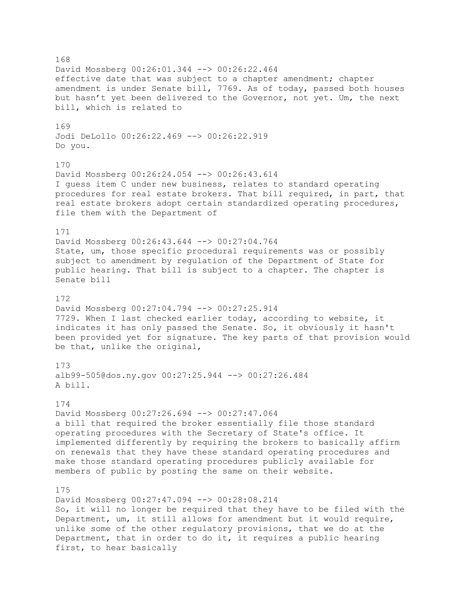168 David Mossberg 00:26:01.344 --> 00:26:22.464 effective date that was subject to a chapter amendment; chapter amendment is under Senate bill, 7769. As of today, passed both houses but hasn't yet been delivered to the Governor, not yet. Um, the next bill, which is related to 169 Jodi DeLollo 00:26:22.469 --> 00:26:22.919 Do you. 170 David Mossberg 00:26:24.054 --> 00:26:43.614 I guess item C under new business, relates to standard operating procedures for real estate brokers. That bill required, in part, that real estate brokers adopt certain standardized operating procedures, file them with the Department of 171 David Mossberg 00:26:43.644 --> 00:27:04.764 State, um, those specific procedural requirements was or possibly subject to amendment by regulation of the Department of State for public hearing. That bill is subject to a chapter. The chapter is Senate bill 172 David Mossberg 00:27:04.794 --> 00:27:25.914 7729. When I last checked earlier today, according to website, it indicates it has only passed the Senate. So, it obviously it hasn't been provided yet for signature. The key parts of that provision would be that, unlike the original, 173 alb99-505@dos.ny.gov 00:27:25.944 --> 00:27:26.484 A bill. 174 David Mossberg 00:27:26.694 --> 00:27:47.064 a bill that required the broker essentially file those standard operating procedures with the Secretary of State's office. It implemented differently by requiring the brokers to basically affirm on renewals that they have these standard operating procedures and make those standard operating procedures publicly available for members of public by posting the same on their website. 175 David Mossberg 00:27:47.094 --> 00:28:08.214 So, it will no longer be required that they have to be filed with the Department, um, it still allows for amendment but it would require, unlike some of the other regulatory provisions, that we do at the Department, that in order to do it, it requires a public hearing first, to hear basically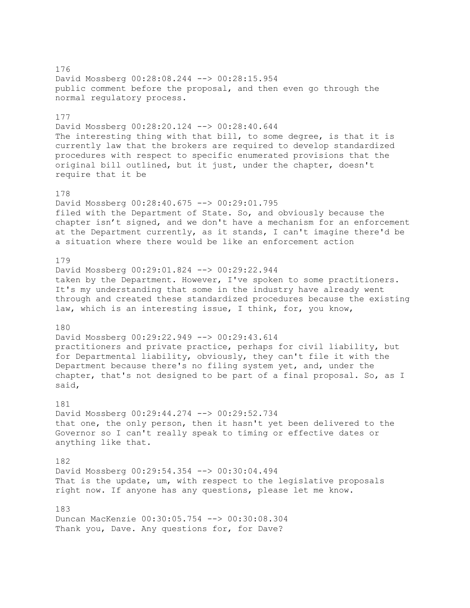176 David Mossberg 00:28:08.244 --> 00:28:15.954 public comment before the proposal, and then even go through the normal regulatory process. 177 David Mossberg 00:28:20.124 --> 00:28:40.644 The interesting thing with that bill, to some degree, is that it is currently law that the brokers are required to develop standardized procedures with respect to specific enumerated provisions that the original bill outlined, but it just, under the chapter, doesn't require that it be 178 David Mossberg 00:28:40.675 --> 00:29:01.795 filed with the Department of State. So, and obviously because the chapter isn't signed, and we don't have a mechanism for an enforcement at the Department currently, as it stands, I can't imagine there'd be a situation where there would be like an enforcement action 179 David Mossberg 00:29:01.824 --> 00:29:22.944 taken by the Department. However, I've spoken to some practitioners. It's my understanding that some in the industry have already went through and created these standardized procedures because the existing law, which is an interesting issue, I think, for, you know, 180 David Mossberg 00:29:22.949 --> 00:29:43.614 practitioners and private practice, perhaps for civil liability, but for Departmental liability, obviously, they can't file it with the Department because there's no filing system yet, and, under the chapter, that's not designed to be part of a final proposal. So, as I said, 181 David Mossberg 00:29:44.274 --> 00:29:52.734 that one, the only person, then it hasn't yet been delivered to the Governor so I can't really speak to timing or effective dates or anything like that. 182 David Mossberg 00:29:54.354 --> 00:30:04.494 That is the update, um, with respect to the legislative proposals right now. If anyone has any questions, please let me know. 183 Duncan MacKenzie 00:30:05.754 --> 00:30:08.304 Thank you, Dave. Any questions for, for Dave?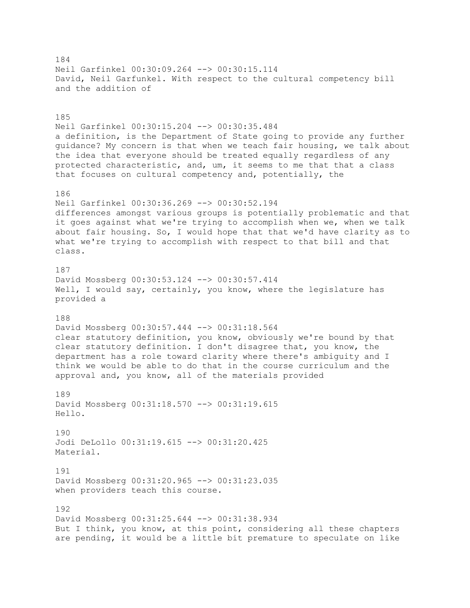Neil Garfinkel 00:30:09.264 --> 00:30:15.114 David, Neil Garfunkel. With respect to the cultural competency bill and the addition of 185 Neil Garfinkel 00:30:15.204 --> 00:30:35.484 a definition, is the Department of State going to provide any further guidance? My concern is that when we teach fair housing, we talk about the idea that everyone should be treated equally regardless of any protected characteristic, and, um, it seems to me that that a class that focuses on cultural competency and, potentially, the 186 Neil Garfinkel 00:30:36.269 --> 00:30:52.194 differences amongst various groups is potentially problematic and that it goes against what we're trying to accomplish when we, when we talk about fair housing. So, I would hope that that we'd have clarity as to what we're trying to accomplish with respect to that bill and that class. 187 David Mossberg 00:30:53.124 --> 00:30:57.414 Well, I would say, certainly, you know, where the legislature has provided a 188 David Mossberg 00:30:57.444 --> 00:31:18.564 clear statutory definition, you know, obviously we're bound by that clear statutory definition. I don't disagree that, you know, the department has a role toward clarity where there's ambiguity and I think we would be able to do that in the course curriculum and the approval and, you know, all of the materials provided 189 David Mossberg 00:31:18.570 --> 00:31:19.615 Hello. 190 Jodi DeLollo 00:31:19.615 --> 00:31:20.425 Material. 191 David Mossberg 00:31:20.965 --> 00:31:23.035 when providers teach this course. 192 David Mossberg 00:31:25.644 --> 00:31:38.934 But I think, you know, at this point, considering all these chapters are pending, it would be a little bit premature to speculate on like

184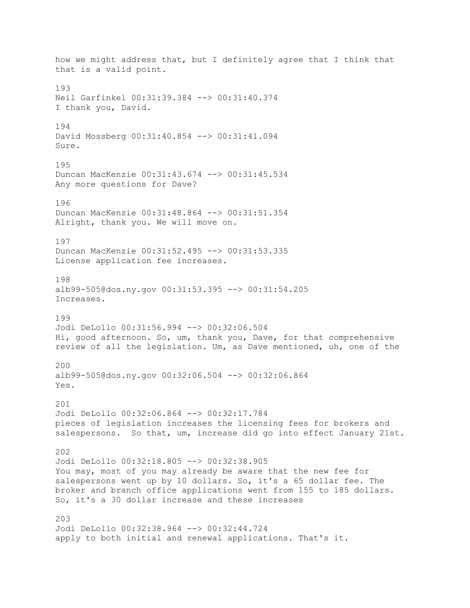how we might address that, but I definitely agree that I think that that is a valid point. 193 Neil Garfinkel 00:31:39.384 --> 00:31:40.374 I thank you, David. 194 David Mossberg 00:31:40.854 --> 00:31:41.094 Sure. 195 Duncan MacKenzie 00:31:43.674 --> 00:31:45.534 Any more questions for Dave? 196 Duncan MacKenzie 00:31:48.864 --> 00:31:51.354 Alright, thank you. We will move on. 197 Duncan MacKenzie 00:31:52.495 --> 00:31:53.335 License application fee increases. 198 alb99-505@dos.ny.gov 00:31:53.395 --> 00:31:54.205 Increases. 199 Jodi DeLollo 00:31:56.994 --> 00:32:06.504 Hi, good afternoon. So, um, thank you, Dave, for that comprehensive review of all the legislation. Um, as Dave mentioned, uh, one of the 200 alb99-505@dos.ny.gov 00:32:06.504 --> 00:32:06.864 Yes. 201 Jodi DeLollo 00:32:06.864 --> 00:32:17.784 pieces of legislation increases the licensing fees for brokers and salespersons. So that, um, increase did go into effect January 21st. 202 Jodi DeLollo 00:32:18.805 --> 00:32:38.905 You may, most of you may already be aware that the new fee for salespersons went up by 10 dollars. So, it's a 65 dollar fee. The broker and branch office applications went from 155 to 185 dollars. So, it's a 30 dollar increase and these increases 203 Jodi DeLollo 00:32:38.964 --> 00:32:44.724 apply to both initial and renewal applications. That's it.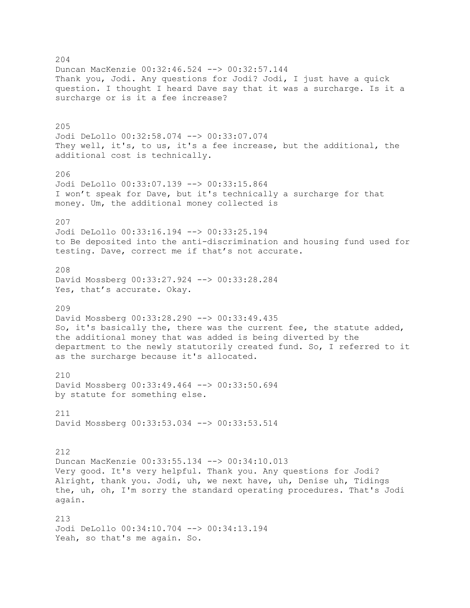204 Duncan MacKenzie 00:32:46.524 --> 00:32:57.144 Thank you, Jodi. Any questions for Jodi? Jodi, I just have a quick question. I thought I heard Dave say that it was a surcharge. Is it a surcharge or is it a fee increase? 205 Jodi DeLollo 00:32:58.074 --> 00:33:07.074 They well, it's, to us, it's a fee increase, but the additional, the additional cost is technically. 206 Jodi DeLollo 00:33:07.139 --> 00:33:15.864 I won't speak for Dave, but it's technically a surcharge for that money. Um, the additional money collected is 207 Jodi DeLollo 00:33:16.194 --> 00:33:25.194 to Be deposited into the anti-discrimination and housing fund used for testing. Dave, correct me if that's not accurate. 208 David Mossberg 00:33:27.924 --> 00:33:28.284 Yes, that's accurate. Okay. 209 David Mossberg 00:33:28.290 --> 00:33:49.435 So, it's basically the, there was the current fee, the statute added, the additional money that was added is being diverted by the department to the newly statutorily created fund. So, I referred to it as the surcharge because it's allocated. 210 David Mossberg 00:33:49.464 --> 00:33:50.694 by statute for something else. 211 David Mossberg 00:33:53.034 --> 00:33:53.514 212 Duncan MacKenzie 00:33:55.134 --> 00:34:10.013 Very good. It's very helpful. Thank you. Any questions for Jodi? Alright, thank you. Jodi, uh, we next have, uh, Denise uh, Tidings the, uh, oh, I'm sorry the standard operating procedures. That's Jodi again. 213 Jodi DeLollo 00:34:10.704 --> 00:34:13.194 Yeah, so that's me again. So.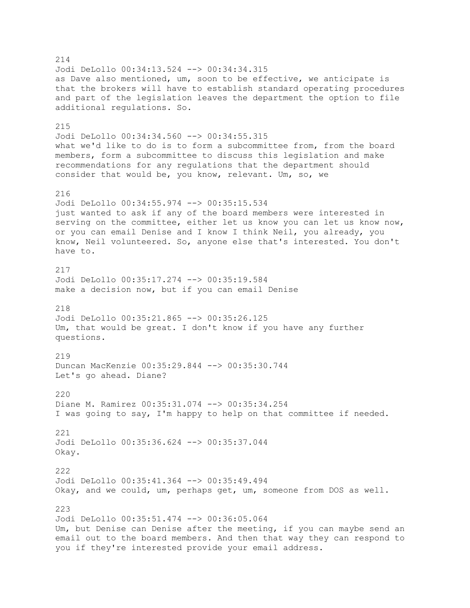214 Jodi DeLollo 00:34:13.524 --> 00:34:34.315 as Dave also mentioned, um, soon to be effective, we anticipate is that the brokers will have to establish standard operating procedures and part of the legislation leaves the department the option to file additional regulations. So. 215 Jodi DeLollo 00:34:34.560 --> 00:34:55.315 what we'd like to do is to form a subcommittee from, from the board members, form a subcommittee to discuss this legislation and make recommendations for any regulations that the department should consider that would be, you know, relevant. Um, so, we 216 Jodi DeLollo 00:34:55.974 --> 00:35:15.534 just wanted to ask if any of the board members were interested in serving on the committee, either let us know you can let us know now, or you can email Denise and I know I think Neil, you already, you know, Neil volunteered. So, anyone else that's interested. You don't have to. 217 Jodi DeLollo 00:35:17.274 --> 00:35:19.584 make a decision now, but if you can email Denise 218 Jodi DeLollo 00:35:21.865 --> 00:35:26.125 Um, that would be great. I don't know if you have any further questions. 219 Duncan MacKenzie 00:35:29.844 --> 00:35:30.744 Let's go ahead. Diane? 220 Diane M. Ramirez 00:35:31.074 --> 00:35:34.254 I was going to say, I'm happy to help on that committee if needed. 221 Jodi DeLollo 00:35:36.624 --> 00:35:37.044 Okay. 222 Jodi DeLollo 00:35:41.364 --> 00:35:49.494 Okay, and we could, um, perhaps get, um, someone from DOS as well. 223 Jodi DeLollo 00:35:51.474 --> 00:36:05.064 Um, but Denise can Denise after the meeting, if you can maybe send an email out to the board members. And then that way they can respond to you if they're interested provide your email address.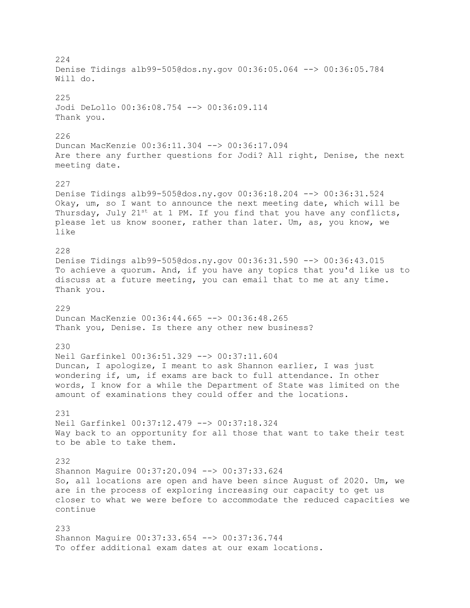224 Denise Tidings alb99-505@dos.ny.gov 00:36:05.064 --> 00:36:05.784 Will do. 225 Jodi DeLollo 00:36:08.754 --> 00:36:09.114 Thank you. 226 Duncan MacKenzie 00:36:11.304 --> 00:36:17.094 Are there any further questions for Jodi? All right, Denise, the next meeting date. 227 Denise Tidings alb99-505@dos.ny.gov 00:36:18.204 --> 00:36:31.524 Okay, um, so I want to announce the next meeting date, which will be Thursday, July  $21^{st}$  at 1 PM. If you find that you have any conflicts, please let us know sooner, rather than later. Um, as, you know, we like 228 Denise Tidings alb99-505@dos.ny.gov 00:36:31.590 --> 00:36:43.015 To achieve a quorum. And, if you have any topics that you'd like us to discuss at a future meeting, you can email that to me at any time. Thank you. 229 Duncan MacKenzie 00:36:44.665 --> 00:36:48.265 Thank you, Denise. Is there any other new business? 230 Neil Garfinkel 00:36:51.329 --> 00:37:11.604 Duncan, I apologize, I meant to ask Shannon earlier, I was just wondering if, um, if exams are back to full attendance. In other words, I know for a while the Department of State was limited on the amount of examinations they could offer and the locations. 231 Neil Garfinkel 00:37:12.479 --> 00:37:18.324 Way back to an opportunity for all those that want to take their test to be able to take them. 232 Shannon Maguire 00:37:20.094 --> 00:37:33.624 So, all locations are open and have been since August of 2020. Um, we are in the process of exploring increasing our capacity to get us closer to what we were before to accommodate the reduced capacities we continue 233 Shannon Maguire 00:37:33.654 --> 00:37:36.744 To offer additional exam dates at our exam locations.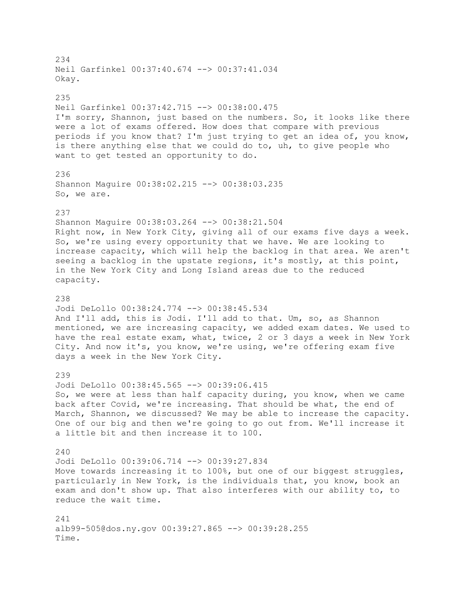234 Neil Garfinkel 00:37:40.674 --> 00:37:41.034 Okay. 235 Neil Garfinkel 00:37:42.715 --> 00:38:00.475 I'm sorry, Shannon, just based on the numbers. So, it looks like there were a lot of exams offered. How does that compare with previous periods if you know that? I'm just trying to get an idea of, you know, is there anything else that we could do to, uh, to give people who want to get tested an opportunity to do. 236 Shannon Maguire 00:38:02.215 --> 00:38:03.235 So, we are. 237 Shannon Maguire 00:38:03.264 --> 00:38:21.504 Right now, in New York City, giving all of our exams five days a week. So, we're using every opportunity that we have. We are looking to increase capacity, which will help the backlog in that area. We aren't seeing a backlog in the upstate regions, it's mostly, at this point, in the New York City and Long Island areas due to the reduced capacity. 238 Jodi DeLollo 00:38:24.774 --> 00:38:45.534 And I'll add, this is Jodi. I'll add to that. Um, so, as Shannon mentioned, we are increasing capacity, we added exam dates. We used to have the real estate exam, what, twice, 2 or 3 days a week in New York City. And now it's, you know, we're using, we're offering exam five days a week in the New York City. 239 Jodi DeLollo 00:38:45.565 --> 00:39:06.415 So, we were at less than half capacity during, you know, when we came back after Covid, we're increasing. That should be what, the end of March, Shannon, we discussed? We may be able to increase the capacity. One of our big and then we're going to go out from. We'll increase it a little bit and then increase it to 100. 240 Jodi DeLollo 00:39:06.714 --> 00:39:27.834 Move towards increasing it to 100%, but one of our biggest struggles, particularly in New York, is the individuals that, you know, book an exam and don't show up. That also interferes with our ability to, to reduce the wait time. 241 alb99-505@dos.ny.gov 00:39:27.865 --> 00:39:28.255 Time.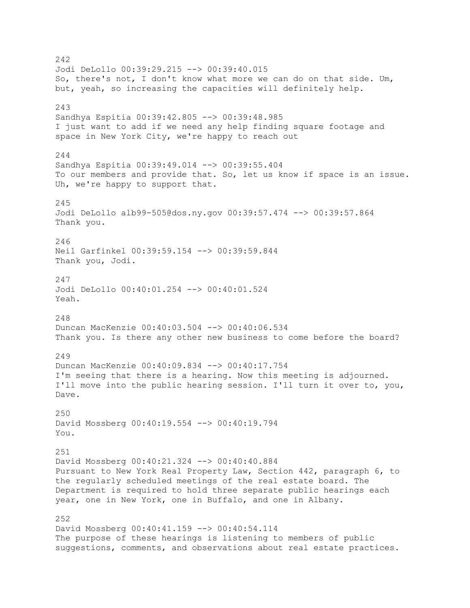242 Jodi DeLollo 00:39:29.215 --> 00:39:40.015 So, there's not, I don't know what more we can do on that side. Um, but, yeah, so increasing the capacities will definitely help. 243 Sandhya Espitia 00:39:42.805 --> 00:39:48.985 I just want to add if we need any help finding square footage and space in New York City, we're happy to reach out 244 Sandhya Espitia 00:39:49.014 --> 00:39:55.404 To our members and provide that. So, let us know if space is an issue. Uh, we're happy to support that. 245 Jodi DeLollo alb99-505@dos.ny.gov 00:39:57.474 --> 00:39:57.864 Thank you. 246 Neil Garfinkel 00:39:59.154 --> 00:39:59.844 Thank you, Jodi. 247 Jodi DeLollo 00:40:01.254 --> 00:40:01.524 Yeah. 248 Duncan MacKenzie 00:40:03.504 --> 00:40:06.534 Thank you. Is there any other new business to come before the board? 249 Duncan MacKenzie 00:40:09.834 --> 00:40:17.754 I'm seeing that there is a hearing. Now this meeting is adjourned. I'll move into the public hearing session. I'll turn it over to, you, Dave. 250 David Mossberg 00:40:19.554 --> 00:40:19.794 You. 251 David Mossberg 00:40:21.324 --> 00:40:40.884 Pursuant to New York Real Property Law, Section 442, paragraph 6, to the regularly scheduled meetings of the real estate board. The Department is required to hold three separate public hearings each year, one in New York, one in Buffalo, and one in Albany. 252 David Mossberg 00:40:41.159 --> 00:40:54.114 The purpose of these hearings is listening to members of public suggestions, comments, and observations about real estate practices.